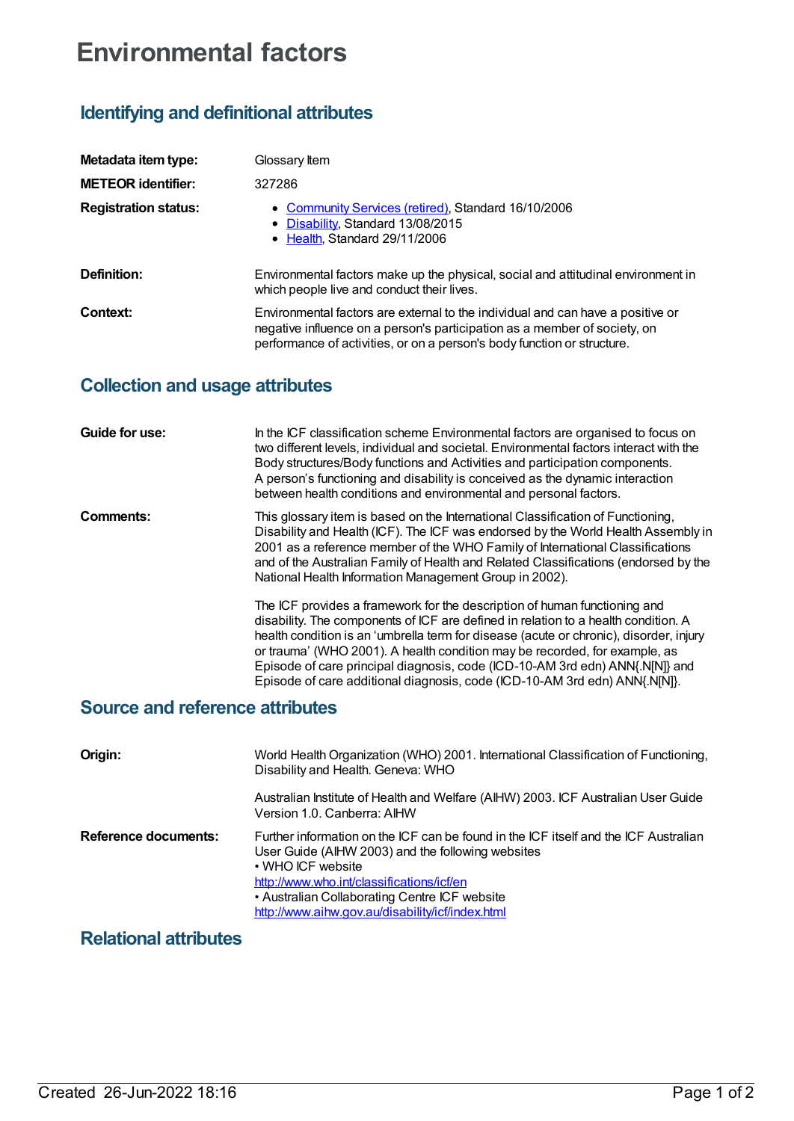# **Environmental factors**

## **Identifying and definitional attributes**

| Metadata item type:         | Glossary Item                                                                                                                                                                                                                           |
|-----------------------------|-----------------------------------------------------------------------------------------------------------------------------------------------------------------------------------------------------------------------------------------|
| <b>METEOR identifier:</b>   | 327286                                                                                                                                                                                                                                  |
| <b>Registration status:</b> | • Community Services (retired), Standard 16/10/2006<br>• Disability, Standard 13/08/2015<br>• Health, Standard 29/11/2006                                                                                                               |
| Definition:                 | Environmental factors make up the physical, social and attitudinal environment in<br>which people live and conduct their lives.                                                                                                         |
| Context:                    | Environmental factors are external to the individual and can have a positive or<br>negative influence on a person's participation as a member of society, on<br>performance of activities, or on a person's body function or structure. |

### **Collection and usage attributes**

| Guide for use: | In the ICF classification scheme Environmental factors are organised to focus on<br>two different levels, individual and societal. Environmental factors interact with the<br>Body structures/Body functions and Activities and participation components.<br>A person's functioning and disability is conceived as the dynamic interaction<br>between health conditions and environmental and personal factors.                                                                                       |
|----------------|-------------------------------------------------------------------------------------------------------------------------------------------------------------------------------------------------------------------------------------------------------------------------------------------------------------------------------------------------------------------------------------------------------------------------------------------------------------------------------------------------------|
| Comments:      | This glossary item is based on the International Classification of Functioning,<br>Disability and Health (ICF). The ICF was endorsed by the World Health Assembly in<br>2001 as a reference member of the WHO Family of International Classifications<br>and of the Australian Family of Health and Related Classifications (endorsed by the<br>National Health Information Management Group in 2002).                                                                                                |
|                | The ICF provides a framework for the description of human functioning and<br>disability. The components of ICF are defined in relation to a health condition. A<br>health condition is an 'umbrella term for disease (acute or chronic), disorder, injury<br>or trauma' (WHO 2001). A health condition may be recorded, for example, as<br>Episode of care principal diagnosis, code (ICD-10-AM 3rd edn) ANN{.N[N]} and<br>Episode of care additional diagnosis, code (ICD-10-AM 3rd edn) ANN{.N[N]}. |

### **Source and reference attributes**

| Origin:              | World Health Organization (WHO) 2001. International Classification of Functioning,<br>Disability and Health. Geneva: WHO                                                                                                                                                                                         |
|----------------------|------------------------------------------------------------------------------------------------------------------------------------------------------------------------------------------------------------------------------------------------------------------------------------------------------------------|
|                      | Australian Institute of Health and Welfare (AIHW) 2003. ICF Australian User Guide<br>Version 1.0. Canberra: AIHW                                                                                                                                                                                                 |
| Reference documents: | Further information on the ICF can be found in the ICF itself and the ICF Australian<br>User Guide (AIHW 2003) and the following websites<br>• WHO ICF website<br>http://www.who.int/classifications/icf/en<br>• Australian Collaborating Centre ICF website<br>http://www.aihw.gov.au/disability/icf/index.html |

### **Relational attributes**